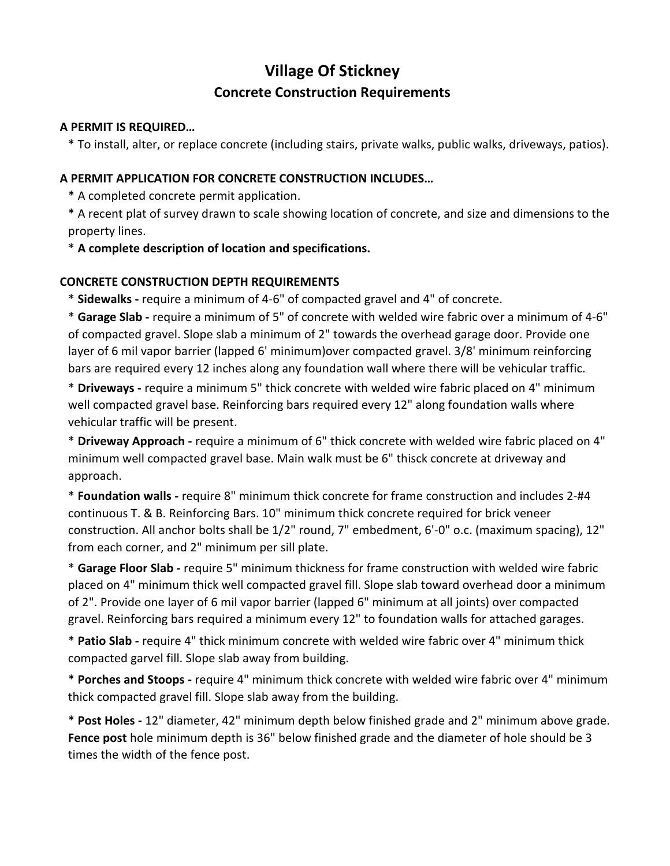# **Concrete Construction Requirements Village Of Stickney**

#### **A PERMIT IS REQUIRED…**

\* To install, alter, or replace concrete (including stairs, private walks, public walks, driveways, patios).

### **A PERMIT APPLICATION FOR CONCRETE CONSTRUCTION INCLUDES…**

\* A completed concrete permit application.

\* A recent plat of survey drawn to scale showing location of concrete, and size and dimensions to the property lines.

\* **A complete description of location and specifications.** 

## **CONCRETE CONSTRUCTION DEPTH REQUIREMENTS**

\* **Sidewalks -** require a minimum of 4-6" of compacted gravel and 4" of concrete.

\* **Garage Slab -** require a minimum of 5" of concrete with welded wire fabric over a minimum of 4-6" of compacted gravel. Slope slab a minimum of 2" towards the overhead garage door. Provide one layer of 6 mil vapor barrier (lapped 6' minimum)over compacted gravel. 3/8' minimum reinforcing bars are required every 12 inches along any foundation wall where there will be vehicular traffic.

\* **Driveways -** require a minimum 5" thick concrete with welded wire fabric placed on 4" minimum well compacted gravel base. Reinforcing bars required every 12" along foundation walls where vehicular traffic will be present.

\* **Driveway Approach -** require a minimum of 6" thick concrete with welded wire fabric placed on 4" minimum well compacted gravel base. Main walk must be 6" thisck concrete at driveway and approach.

\* **Foundation walls -** require 8" minimum thick concrete for frame construction and includes 2-#4 continuous T. & B. Reinforcing Bars. 10" minimum thick concrete required for brick veneer construction. All anchor bolts shall be 1/2" round, 7" embedment, 6'-0" o.c. (maximum spacing), 12" from each corner, and 2" minimum per sill plate.

\* **Garage Floor Slab -** require 5" minimum thickness for frame construction with welded wire fabric placed on 4" minimum thick well compacted gravel fill. Slope slab toward overhead door a minimum of 2". Provide one layer of 6 mil vapor barrier (lapped 6" minimum at all joints) over compacted gravel. Reinforcing bars required a minimum every 12" to foundation walls for attached garages.

\* **Patio Slab -** require 4" thick minimum concrete with welded wire fabric over 4" minimum thick compacted garvel fill. Slope slab away from building.

\* **Porches and Stoops -** require 4" minimum thick concrete with welded wire fabric over 4" minimum thick compacted gravel fill. Slope slab away from the building.

\* **Post Holes -** 12" diameter, 42" minimum depth below finished grade and 2" minimum above grade. **Fence post** hole minimum depth is 36" below finished grade and the diameter of hole should be 3 times the width of the fence post.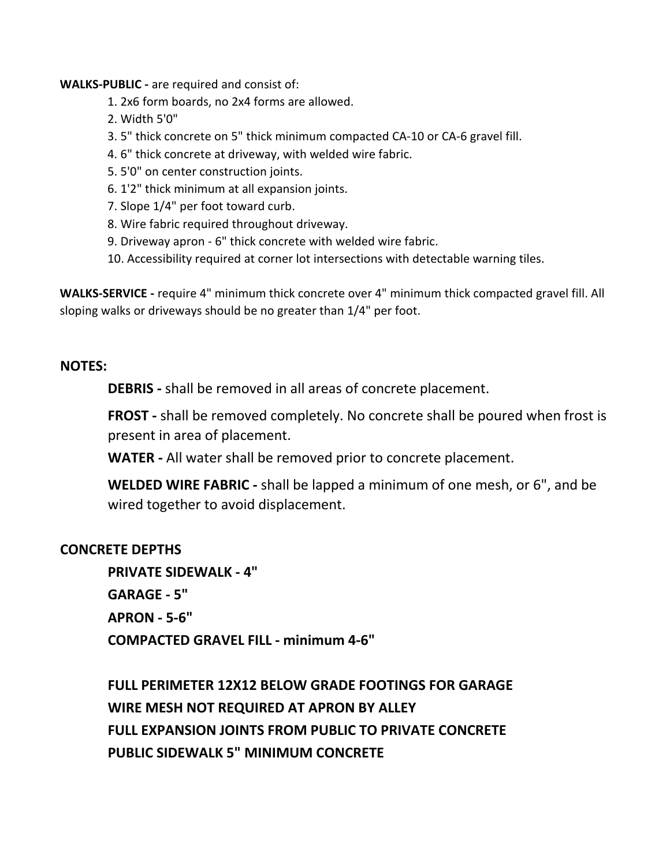**WALKS-PUBLIC -** are required and consist of:

- 1. 2x6 form boards, no 2x4 forms are allowed.
- 2. Width 5'0"
- 3. 5" thick concrete on 5" thick minimum compacted CA-10 or CA-6 gravel fill.
- 4. 6" thick concrete at driveway, with welded wire fabric.
- 5. 5'0" on center construction joints.
- 6. 1'2" thick minimum at all expansion joints.
- 7. Slope 1/4" per foot toward curb.
- 8. Wire fabric required throughout driveway.
- 9. Driveway apron 6" thick concrete with welded wire fabric.
- 10. Accessibility required at corner lot intersections with detectable warning tiles.

**WALKS-SERVICE -** require 4" minimum thick concrete over 4" minimum thick compacted gravel fill. All sloping walks or driveways should be no greater than 1/4" per foot.

## **NOTES:**

**DEBRIS -** shall be removed in all areas of concrete placement.

**FROST -** shall be removed completely. No concrete shall be poured when frost is present in area of placement.

**WATER -** All water shall be removed prior to concrete placement.

**WELDED WIRE FABRIC -** shall be lapped a minimum of one mesh, or 6", and be wired together to avoid displacement.

## **CONCRETE DEPTHS**

**PRIVATE SIDEWALK - 4" GARAGE - 5" APRON - 5-6" COMPACTED GRAVEL FILL - minimum 4-6"** 

**FULL PERIMETER 12X12 BELOW GRADE FOOTINGS FOR GARAGE WIRE MESH NOT REQUIRED AT APRON BY ALLEY FULL EXPANSION JOINTS FROM PUBLIC TO PRIVATE CONCRETE PUBLIC SIDEWALK 5" MINIMUM CONCRETE**